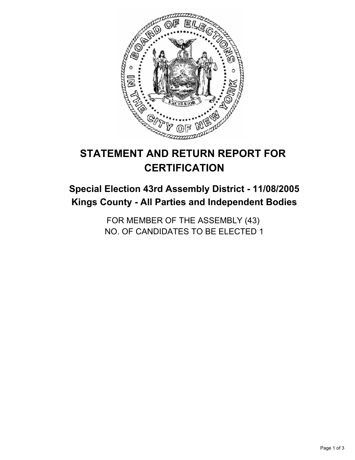

## **STATEMENT AND RETURN REPORT FOR CERTIFICATION**

**Special Election 43rd Assembly District - 11/08/2005 Kings County - All Parties and Independent Bodies**

> FOR MEMBER OF THE ASSEMBLY (43) NO. OF CANDIDATES TO BE ELECTED 1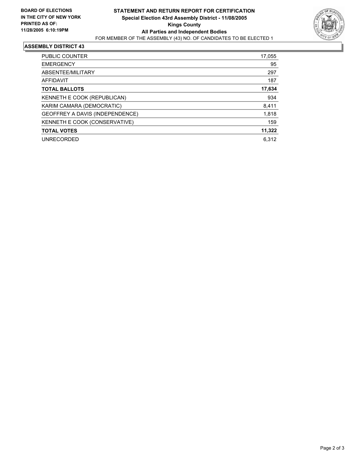

## **ASSEMBLY DISTRICT 43**

| <b>PUBLIC COUNTER</b>           | 17,055 |
|---------------------------------|--------|
| <b>EMERGENCY</b>                | 95     |
| ABSENTEE/MILITARY               | 297    |
| AFFIDAVIT                       | 187    |
| <b>TOTAL BALLOTS</b>            | 17,634 |
| KENNETH E COOK (REPUBLICAN)     | 934    |
| KARIM CAMARA (DEMOCRATIC)       | 8,411  |
| GEOFFREY A DAVIS (INDEPENDENCE) | 1,818  |
| KENNETH E COOK (CONSERVATIVE)   | 159    |
| <b>TOTAL VOTES</b>              | 11,322 |
| <b>UNRECORDED</b>               | 6,312  |